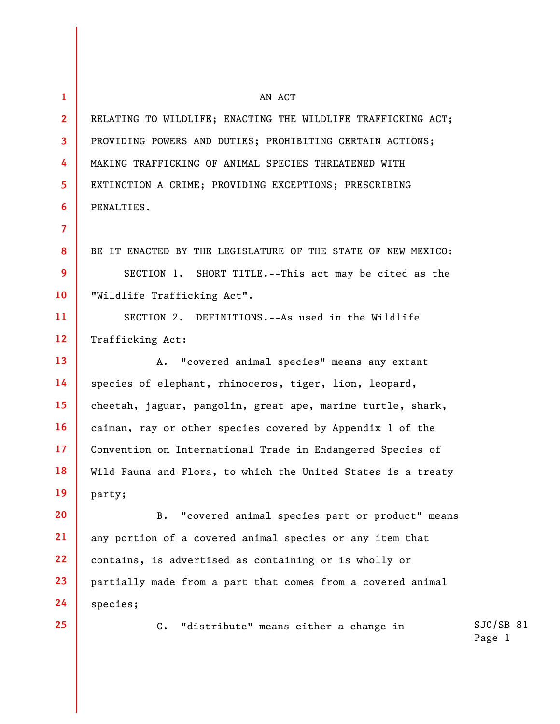**1 2 3 4 5 6 7 8 9 10 11 12 13 14 15 16 17 18 19 20 21 22 23 24**  AN ACT RELATING TO WILDLIFE; ENACTING THE WILDLIFE TRAFFICKING ACT; PROVIDING POWERS AND DUTIES; PROHIBITING CERTAIN ACTIONS; MAKING TRAFFICKING OF ANIMAL SPECIES THREATENED WITH EXTINCTION A CRIME; PROVIDING EXCEPTIONS; PRESCRIBING PENALTIES. BE IT ENACTED BY THE LEGISLATURE OF THE STATE OF NEW MEXICO: SECTION 1. SHORT TITLE.--This act may be cited as the "Wildlife Trafficking Act". SECTION 2. DEFINITIONS.--As used in the Wildlife Trafficking Act: A. "covered animal species" means any extant species of elephant, rhinoceros, tiger, lion, leopard, cheetah, jaguar, pangolin, great ape, marine turtle, shark, caiman, ray or other species covered by Appendix 1 of the Convention on International Trade in Endangered Species of Wild Fauna and Flora, to which the United States is a treaty party; B. "covered animal species part or product" means any portion of a covered animal species or any item that contains, is advertised as containing or is wholly or partially made from a part that comes from a covered animal species;

**25** 

C. "distribute" means either a change in

SJC/SB 81 Page 1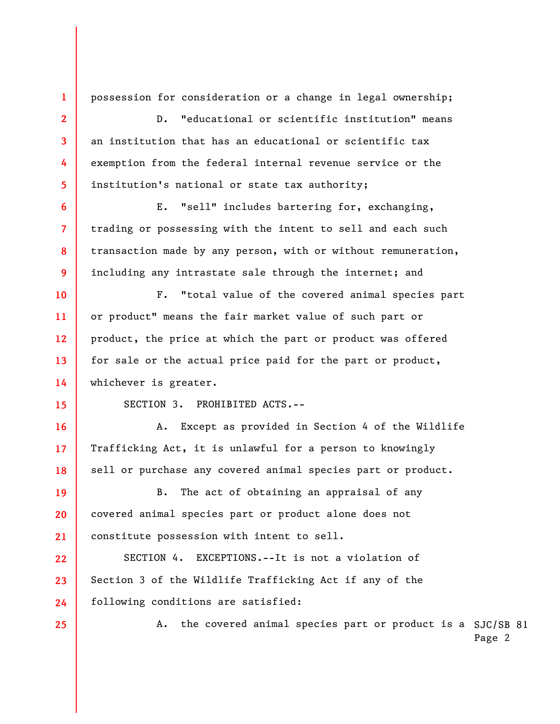possession for consideration or a change in legal ownership;

D. "educational or scientific institution" means an institution that has an educational or scientific tax exemption from the federal internal revenue service or the institution's national or state tax authority;

E. "sell" includes bartering for, exchanging, trading or possessing with the intent to sell and each such transaction made by any person, with or without remuneration, including any intrastate sale through the internet; and

F. "total value of the covered animal species part or product" means the fair market value of such part or product, the price at which the part or product was offered for sale or the actual price paid for the part or product, whichever is greater.

**15** 

**16** 

**17** 

**18** 

**1** 

**2** 

**3** 

**4** 

**5** 

**6** 

**7** 

**8** 

**9** 

**10** 

**11** 

**12** 

**13** 

**14** 

SECTION 3. PROHIBITED ACTS.--

A. Except as provided in Section 4 of the Wildlife Trafficking Act, it is unlawful for a person to knowingly sell or purchase any covered animal species part or product.

**19 20 21**  B. The act of obtaining an appraisal of any covered animal species part or product alone does not constitute possession with intent to sell.

**22 23 24**  SECTION 4. EXCEPTIONS.--It is not a violation of Section 3 of the Wildlife Trafficking Act if any of the following conditions are satisfied:

**25** 

A. the covered animal species part or product is a SJC/SB 81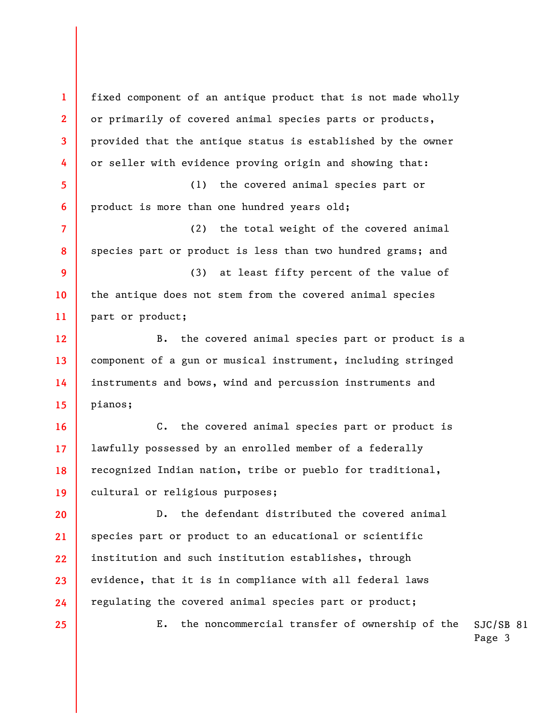**1 2 3 4 5 6 7 8 9 10 11 12 13 14 15 16 17 18 19 20 21 22 23 24 25**  fixed component of an antique product that is not made wholly or primarily of covered animal species parts or products, provided that the antique status is established by the owner or seller with evidence proving origin and showing that: (1) the covered animal species part or product is more than one hundred years old; (2) the total weight of the covered animal species part or product is less than two hundred grams; and (3) at least fifty percent of the value of the antique does not stem from the covered animal species part or product; B. the covered animal species part or product is a component of a gun or musical instrument, including stringed instruments and bows, wind and percussion instruments and pianos; C. the covered animal species part or product is lawfully possessed by an enrolled member of a federally recognized Indian nation, tribe or pueblo for traditional, cultural or religious purposes; D. the defendant distributed the covered animal species part or product to an educational or scientific institution and such institution establishes, through evidence, that it is in compliance with all federal laws regulating the covered animal species part or product; E. the noncommercial transfer of ownership of the

SJC/SB 81 Page 3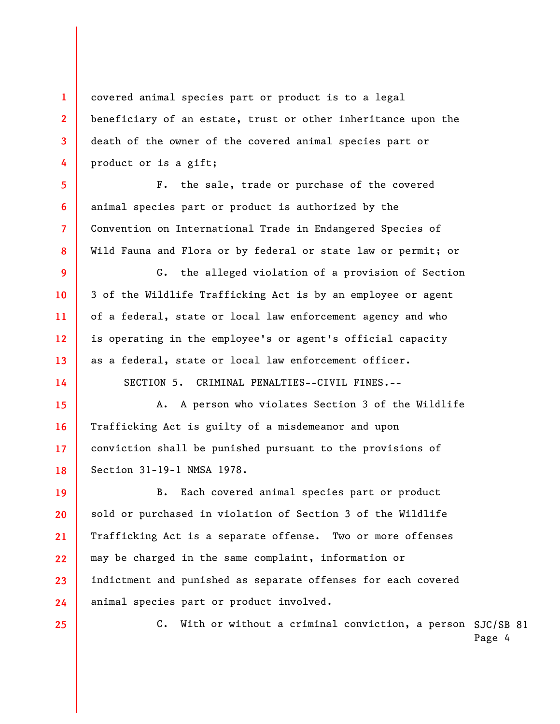covered animal species part or product is to a legal beneficiary of an estate, trust or other inheritance upon the death of the owner of the covered animal species part or product or is a gift;

F. the sale, trade or purchase of the covered animal species part or product is authorized by the Convention on International Trade in Endangered Species of Wild Fauna and Flora or by federal or state law or permit; or

G. the alleged violation of a provision of Section 3 of the Wildlife Trafficking Act is by an employee or agent of a federal, state or local law enforcement agency and who is operating in the employee's or agent's official capacity as a federal, state or local law enforcement officer.

SECTION 5. CRIMINAL PENALTIES--CIVIL FINES.--

**15 16 17 18**  A. A person who violates Section 3 of the Wildlife Trafficking Act is guilty of a misdemeanor and upon conviction shall be punished pursuant to the provisions of Section 31-19-1 NMSA 1978.

**19 20 21 22 23 24**  B. Each covered animal species part or product sold or purchased in violation of Section 3 of the Wildlife Trafficking Act is a separate offense. Two or more offenses may be charged in the same complaint, information or indictment and punished as separate offenses for each covered animal species part or product involved.

**25** 

**1** 

**2** 

**3** 

**4** 

**5** 

**6** 

**7** 

**8** 

**9** 

**10** 

**11** 

**12** 

**13** 

**14** 

C. With or without a criminal conviction, a person SJC/SB 81

Page 4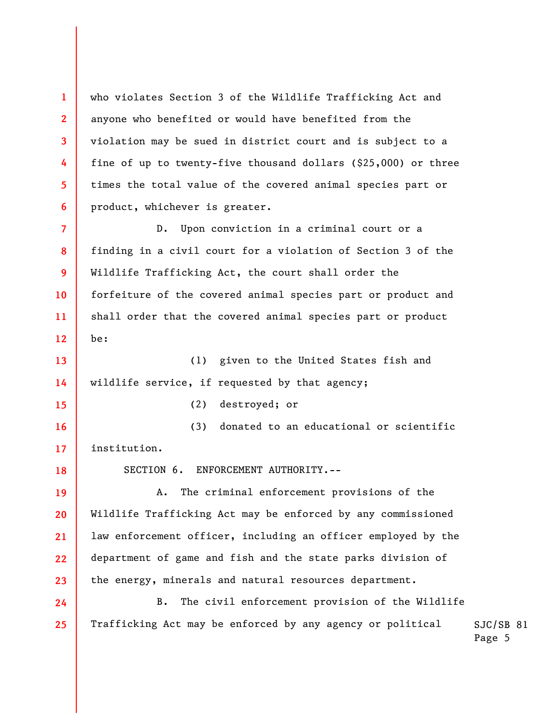who violates Section 3 of the Wildlife Trafficking Act and anyone who benefited or would have benefited from the violation may be sued in district court and is subject to a fine of up to twenty-five thousand dollars (\$25,000) or three times the total value of the covered animal species part or product, whichever is greater.

**7 8 9 10 11 12**  D. Upon conviction in a criminal court or a finding in a civil court for a violation of Section 3 of the Wildlife Trafficking Act, the court shall order the forfeiture of the covered animal species part or product and shall order that the covered animal species part or product be:

**13 14**  (1) given to the United States fish and wildlife service, if requested by that agency;

**15** 

**18** 

**24** 

**25** 

**1** 

**2** 

**3** 

**4** 

**5** 

**6** 

(2) destroyed; or

**16 17**  (3) donated to an educational or scientific institution.

SECTION 6. ENFORCEMENT AUTHORITY.--

**19 20 21 22 23**  A. The criminal enforcement provisions of the Wildlife Trafficking Act may be enforced by any commissioned law enforcement officer, including an officer employed by the department of game and fish and the state parks division of the energy, minerals and natural resources department.

B. The civil enforcement provision of the Wildlife Trafficking Act may be enforced by any agency or political

SJC/SB 81 Page 5